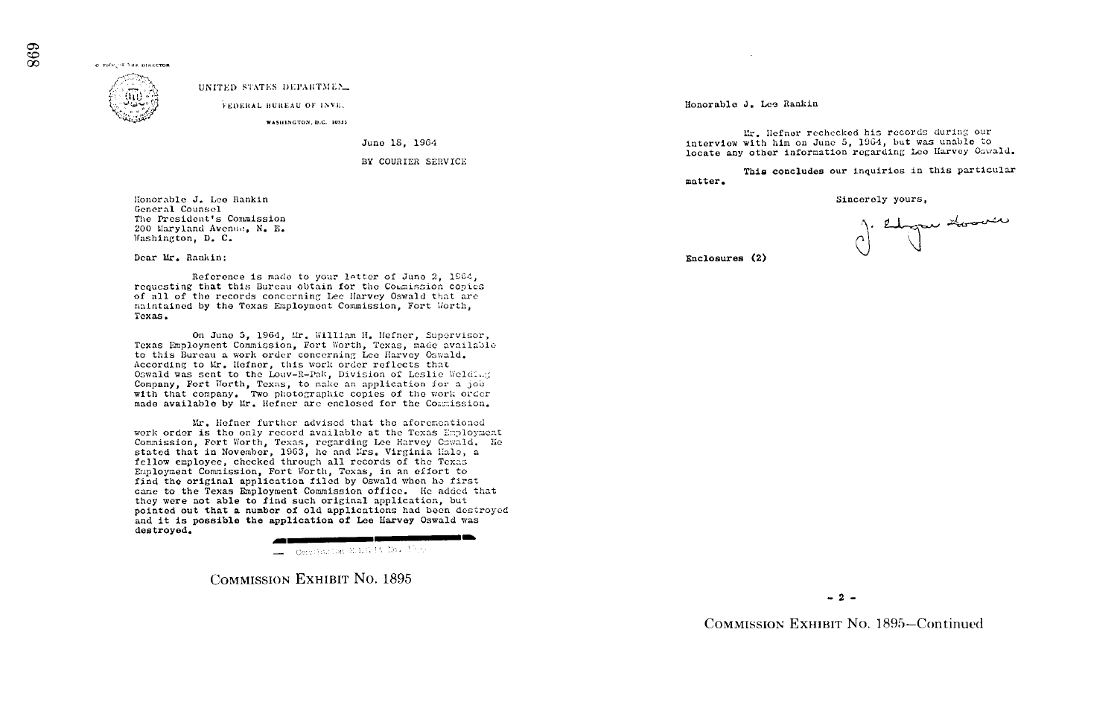O FICE OF THE DIRECTOR



UNITED STATES DEPARTMEN.

FEDERAL BUREAU OF INVEL

WASHINGTON, D.C. 20535

June 18, 1964

BY COURIER SERVICE

Honorable J. Lee Rankin General Counsel The President's Commission 200 Maryland Avenue, N. E. Washington, D. C.

Dear Mr. Rankin:

Reference is made to your letter of June 2, 1964, requesting that this Bureau obtain for the Commission copies of all of the records concerning Lee Harvey Oswald that are maintained by the Texas Employment Commission, Fort Worth, Texas.

On June 5, 1964, Mr. William H. Hefner, Supervisor, Texas Employment Commission, Fort Worth, Texas, made available to this Bureau a work order concerning Lee Harvey Oswald. According to Mr. Hefner, this work order reflects that Oswald was sent to the Louv-R-Pak. Division of Leslie Welding Company, Fort Worth, Texas, to make an application for a job with that company. Two photographic copies of the work order made available by Mr. Hefner are enclosed for the Commission.

Mr. Hefner further advised that the aforementioned work order is the only record available at the Texas Employment Commission, Fort Worth, Texas, regarding Lee Harvey Cowald. He stated that in November, 1963, he and Lrs. Virginia Hale, a fellow employee, checked through all records of the Texas Employment Commission, Fort Worth, Texas, in an effort to find the original application filed by Oswald when he first came to the Texas Employment Commission office. He added that they were not able to find such original application, but pointed out that a number of old applications had been destroyed and it is possible the application of Lee Harvey Oswald was destroyed.

 $\equiv$  Corribation M.L.1245 Ho.  $V^{\rm S}$  se-

**COMMISSION EXHIBIT NO. 1895** 

Honorable J. Lee Rankin

Mr. Hefner rechecked his records during our interview with him on June 5, 1964, but was unable to locate any other information regarding Lee Harvey Oswald.

This concludes our inquiries in this particular matter.

Sincerely yours,

J. Edgar Hoover

Enclosures (2)

 $-2-$ 

COMMISSION EXHIBIT No. 1895-Continued